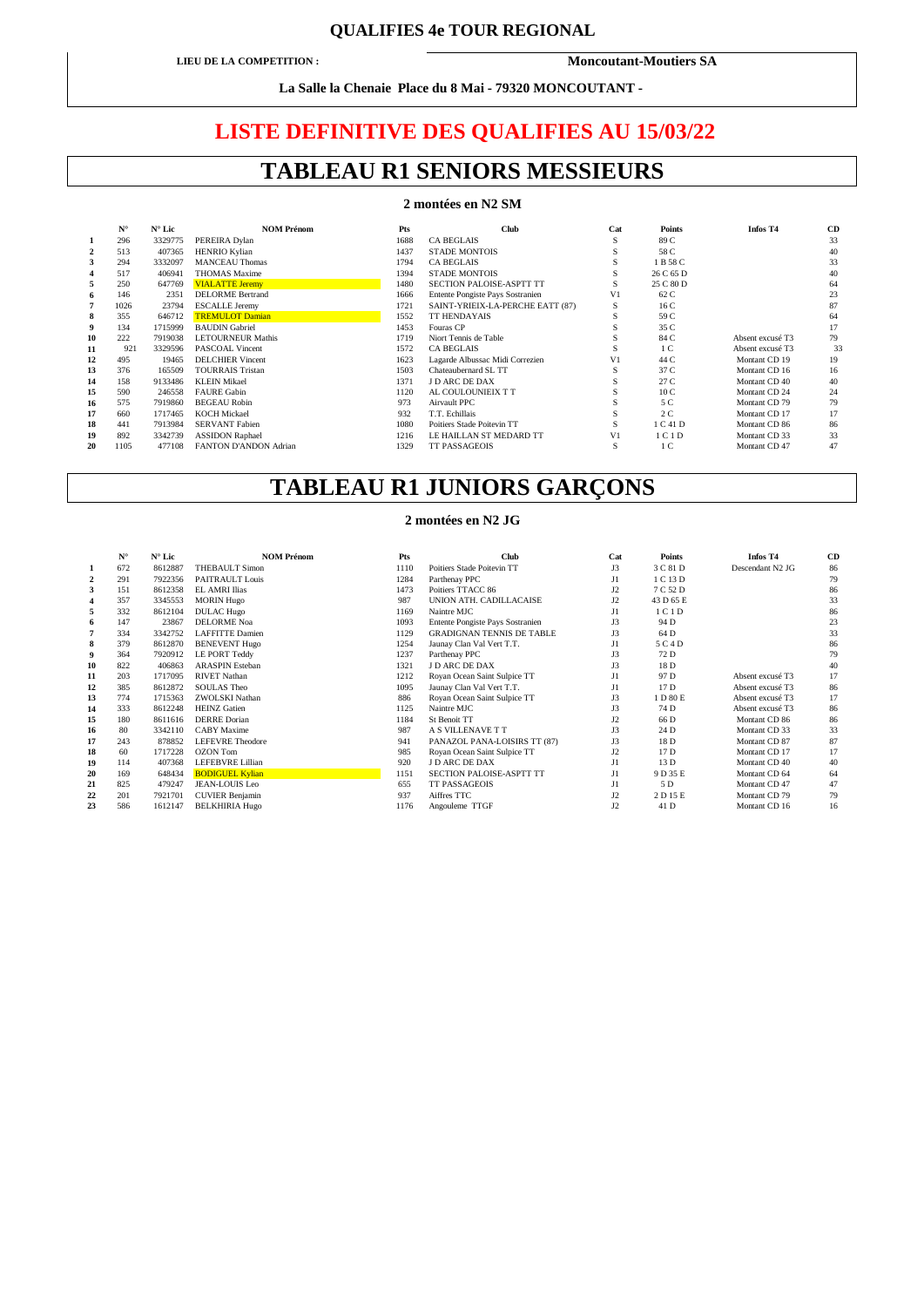## **QUALIFIES 4e TOUR REGIONAL**

**LIEU DE LA COMPETITION : Moncoutant-Moutiers SA** 

**La Salle la Chenaie Place du 8 Mai - 79320 MONCOUTANT -** 

## **LISTE DEFINITIVE DES QUALIFIES AU 15/03/22**

# **TABLEAU R1 SENIORS MESSIEURS**

### **2 montées en N2 SM**

|    | $N^{\circ}$ | $N^{\circ}$ Lic | <b>NOM Prénom</b>        | Pts  | <b>Club</b>                      | Cat            | <b>Points</b>                 | Infos T4         | <b>CD</b> |
|----|-------------|-----------------|--------------------------|------|----------------------------------|----------------|-------------------------------|------------------|-----------|
|    | 296         | 3329775         | PEREIRA Dylan            | 1688 | <b>CA BEGLAIS</b>                |                | 89 C                          |                  | 33        |
|    | 513         | 407365          | <b>HENRIO Kylian</b>     | 1437 | <b>STADE MONTOIS</b>             |                | 58 C                          |                  | 40        |
|    | 294         | 3332097         | <b>MANCEAU Thomas</b>    | 1794 | <b>CA BEGLAIS</b>                |                | 1 B 58 C                      |                  | 33        |
|    | 517         | 406941          | <b>THOMAS Maxime</b>     | 1394 | <b>STADE MONTOIS</b>             |                | 26 C 65 D                     |                  | 40        |
|    | 250         | 647769          | <b>VIALATTE Jeremy</b>   | 1480 | SECTION PALOISE-ASPTT TT         |                | 25 C 80 D                     |                  | 64        |
| 6  | 146         | 2351            | <b>DELORME</b> Bertrand  | 1666 | Entente Pongiste Pays Sostranien | V <sub>1</sub> | 62 C                          |                  | 23        |
|    | 1026        | 23794           | <b>ESCALLE Jeremy</b>    | 1721 | SAINT-YRIEIX-LA-PERCHE EATT (87) | S              | 16 C                          |                  | 87        |
| 8  | 355         | 646712          | <b>TREMULOT Damian</b>   | 1552 | <b>TT HENDAYAIS</b>              |                | 59 C                          |                  | 64        |
| 9  | 134         | 1715999         | <b>BAUDIN</b> Gabriel    | 1453 | Fouras CP                        |                | 35 C                          |                  | 17        |
| 10 | 222         | 7919038         | <b>LETOURNEUR Mathis</b> | 1719 | Niort Tennis de Table            |                | 84 C                          | Absent excusé T3 | 79        |
| 11 | 921         | 3329596         | <b>PASCOAL Vincent</b>   | 1572 | <b>CA BEGLAIS</b>                |                | 1 <sup>C</sup>                | Absent excusé T3 | 33        |
| 12 | 495         | 19465           | <b>DELCHIER Vincent</b>  | 1623 | Lagarde Albussac Midi Correzien  | V1             | 44 C                          | Montant CD 19    | 19        |
| 13 | 376         | 165509          | <b>TOURRAIS Tristan</b>  | 1503 | Chateaubernard SL TT             |                | 37 C                          | Montant CD 16    | 16        |
| 14 | 158         | 9133486         | <b>KLEIN Mikael</b>      | 1371 | J D ARC DE DAX                   |                | 27 C                          | Montant CD 40    | 40        |
| 15 | 590         | 246558          | <b>FAURE Gabin</b>       | 1120 | AL COULOUNIEIX T T               |                | 10 <sub>C</sub>               | Montant CD 24    | 24        |
| 16 | 575         | 7919860         | <b>BEGEAU Robin</b>      | 973  | Airvault PPC                     |                | 5 C                           | Montant CD 79    | 79        |
| 17 | 660         | 1717465         | <b>KOCH Mickael</b>      | 932  | T.T. Echillais                   |                | 2C                            | Montant CD 17    | 17        |
| 18 | 441         | 7913984         | <b>SERVANT Fabien</b>    | 1080 | Poitiers Stade Poitevin TT       |                | 1 C 41 D                      | Montant CD 86    | 86        |
| 19 | 892         | 3342739         | <b>ASSIDON Raphael</b>   | 1216 | LE HAILLAN ST MEDARD TT          | V1             | 1 <sub>C</sub> 1 <sub>D</sub> | Montant CD 33    | 33        |
| 20 | 1105        | 477108          | FANTON D'ANDON Adrian    | 1329 | <b>TT PASSAGEOIS</b>             | S              | 1 <sup>C</sup>                | Montant CD 47    | 47        |

# **TABLEAU R1 JUNIORS GARÇONS**

### **2 montées en N2 JG**

|    | $N^{\circ}$ | $N^{\circ}$ Lic | <b>NOM Prénom</b>       | Pts  | <b>Club</b>                      | Cat     | <b>Points</b> | Infos T <sub>4</sub> | <b>CD</b> |
|----|-------------|-----------------|-------------------------|------|----------------------------------|---------|---------------|----------------------|-----------|
|    | 672         | 8612887         | <b>THEBAULT Simon</b>   | 1110 | Poitiers Stade Poitevin TT       | J3      | 3 C 81 D      | Descendant N2 JG     | 86        |
|    | 291         | 7922356         | PAITRAULT Louis         | 1284 | Parthenay PPC                    | J1      | 1 C 13 D      |                      | 79        |
|    | 151         | 8612358         | <b>EL AMRI Ilias</b>    | 1473 | Poitiers TTACC 86                | J2      | 7 C 52 D      |                      | 86        |
|    | 357         | 3345553         | <b>MORIN Hugo</b>       | 987  | UNION ATH. CADILLACAISE          | J2      | 43 D 65 E     |                      | 33        |
|    | 332         | 8612104         | <b>DULAC Hugo</b>       | 1169 | Naintre MJC                      | $_{11}$ | 1 C 1 D       |                      | 86        |
| 6  | 147         | 23867           | <b>DELORME</b> Noa      | 1093 | Entente Pongiste Pays Sostranien | J3      | 94 D          |                      | 23        |
|    | 334         | 3342752         | <b>LAFFITTE Damien</b>  | 1129 | <b>GRADIGNAN TENNIS DE TABLE</b> | J3      | 64 D          |                      | 33        |
| 8  | 379         | 8612870         | <b>BENEVENT Hugo</b>    | 1254 | Jaunay Clan Val Vert T.T.        | J1      | 5 C 4 D       |                      | 86        |
| 9  | 364         | 7920912         | <b>LE PORT Teddy</b>    | 1237 | Parthenay PPC                    | J3      | 72 D          |                      | 79        |
| 10 | 822         | 406863          | <b>ARASPIN Esteban</b>  | 1321 | J D ARC DE DAX                   | J3      | 18 D          |                      | 40        |
| 11 | 203         | 1717095         | <b>RIVET Nathan</b>     | 1212 | Royan Ocean Saint Sulpice TT     | J1      | 97 D          | Absent excusé T3     | 17        |
| 12 | 385         | 8612872         | <b>SOULAS Theo</b>      | 1095 | Jaunay Clan Val Vert T.T.        | J1      | 17 D          | Absent excuse T3     | 86        |
| 13 | 774         | 1715363         | ZWOLSKI Nathan          | 886  | Royan Ocean Saint Sulpice TT     | J3      | 1 D 80 E      | Absent excusé T3     | 17        |
| 14 | 333         | 8612248         | <b>HEINZ</b> Gatien     | 1125 | Naintre MJC                      | J3      | 74 D          | Absent excusé T3     | 86        |
| 15 | 180         | 8611616         | <b>DERRE</b> Dorian     | 1184 | St Benoit TT                     | J2      | 66 D          | Montant CD 86        | 86        |
| 16 | 80          | 3342110         | <b>CABY</b> Maxime      | 987  | A S VILLENAVE T T                | J3      | 24 D          | Montant CD 33        | 33        |
| 17 | 243         | 878852          | <b>LEFEVRE</b> Theodore | 941  | PANAZOL PANA-LOISIRS TT (87)     | J3      | 18 D          | Montant CD 87        | 87        |
| 18 | 60          | 1717228         | <b>OZON</b> Tom         | 985  | Royan Ocean Saint Sulpice TT     | J2      | 17 D          | Montant CD 17        | 17        |
| 19 | 114         | 407368          | LEFEBVRE Lillian        | 920  | J D ARC DE DAX                   | J1      | 13 D          | Montant CD 40        | 40        |
| 20 | 169         | 648434          | <b>BODIGUEL Kylian</b>  | 1151 | SECTION PALOISE-ASPTT TT         | J1      | 9 D 35 E      | Montant CD 64        | 64        |
| 21 | 825         | 479247          | JEAN-LOUIS Leo          | 655  | <b>TT PASSAGEOIS</b>             | J1      | 5 D           | Montant CD 47        | 47        |
| 22 | 201         | 7921701         | <b>CUVIER Benjamin</b>  | 937  | Aiffres TTC                      | J2      | 2 D 15 E      | Montant CD 79        | 79        |
| 23 | 586         | 1612147         | <b>BELKHIRIA Hugo</b>   | 1176 | Angouleme TTGF                   | J2      | 41 D          | Montant CD 16        | 16        |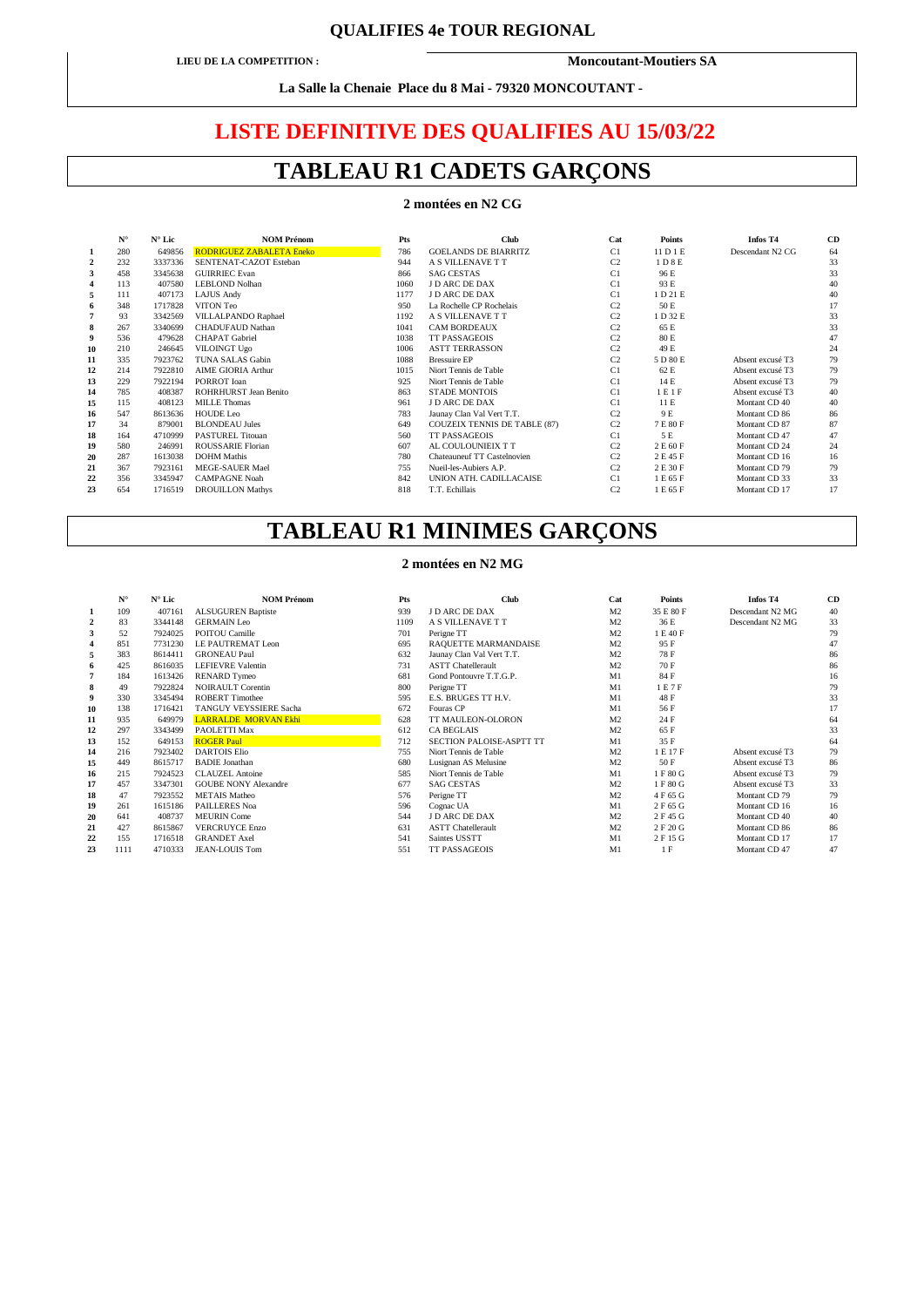## **QUALIFIES 4e TOUR REGIONAL**

**LIEU DE LA COMPETITION : Moncoutant-Moutiers SA** 

**La Salle la Chenaie Place du 8 Mai - 79320 MONCOUTANT -** 

# **LISTE DEFINITIVE DES QUALIFIES AU 15/03/22**

# **TABLEAU R1 CADETS GARÇONS**

### **2 montées en N2 CG**

|    | ${\bf N}^\circ$ | $N^{\circ}$ Lic | <b>NOM Prénom</b>               | Pts  | <b>Club</b>                         | Cat            | <b>Points</b> | Infos T4         | <b>CD</b> |
|----|-----------------|-----------------|---------------------------------|------|-------------------------------------|----------------|---------------|------------------|-----------|
|    | 280             | 649856          | <b>RODRIGUEZ ZABALETA Eneko</b> | 786  | <b>GOELANDS DE BIARRITZ</b>         | C1             | 11 D 1 E      | Descendant N2 CG | 64        |
| 2  | 232             | 3337336         | SENTENAT-CAZOT Esteban          | 944  | A S VILLENAVE T T                   | C <sub>2</sub> | 1 D 8 E       |                  | 33        |
| 3  | 458             | 3345638         | <b>GUIRRIEC Evan</b>            | 866  | <b>SAG CESTAS</b>                   | C1             | 96 E          |                  | 33        |
|    | 113             | 407580          | LEBLOND Nolhan                  | 1060 | J D ARC DE DAX                      | C1             | 93 E          |                  | 40        |
| 5  | 111             | 407173          | <b>LAJUS Andy</b>               | 1177 | <b>JD ARC DE DAX</b>                | C1             | 1 D 21 E      |                  | 40        |
| 6  | 348             | 1717828         | VITON Teo                       | 950  | La Rochelle CP Rochelais            | C <sub>2</sub> | 50 E          |                  | 17        |
|    | 93              | 3342569         | VILLALPANDO Raphael             | 1192 | A S VILLENAVE T T                   | C <sub>2</sub> | 1 D 32 E      |                  | 33        |
| 8  | 267             | 3340699         | <b>CHADUFAUD Nathan</b>         | 1041 | <b>CAM BORDEAUX</b>                 | C <sub>2</sub> | 65 E          |                  | 33        |
| 9  | 536             | 479628          | <b>CHAPAT</b> Gabriel           | 1038 | <b>TT PASSAGEOIS</b>                | C <sub>2</sub> | 80 E          |                  | 47        |
| 10 | 210             | 246645          | VILOINGT Ugo                    | 1006 | <b>ASTT TERRASSON</b>               | C <sub>2</sub> | 49 E          |                  | 24        |
| 11 | 335             | 7923762         | TUNA SALAS Gabin                | 1088 | <b>Bressuire EP</b>                 | C <sub>2</sub> | 5 D 80 E      | Absent excusé T3 | 79        |
| 12 | 214             | 7922810         | <b>AIME GIORIA Arthur</b>       | 1015 | Niort Tennis de Table               | C1             | 62 E          | Absent excusé T3 | 79        |
| 13 | 229             | 7922194         | PORROT Ioan                     | 925  | Niort Tennis de Table               | C1             | 14 E          | Absent excusé T3 | 79        |
| 14 | 785             | 408387          | ROHRHURST Jean Benito           | 863  | <b>STADE MONTOIS</b>                | C1             | 1 E 1 F       | Absent excusé T3 | 40        |
| 15 | 115             | 408123          | <b>MILLE Thomas</b>             | 961  | <b>J D ARC DE DAX</b>               | C1             | 11 E          | Montant CD 40    | 40        |
| 16 | 547             | 8613636         | HOUDE Leo                       | 783  | Jaunay Clan Val Vert T.T.           | C <sub>2</sub> | 9 E           | Montant CD 86    | 86        |
| 17 | 34              | 879001          | <b>BLONDEAU</b> Jules           | 649  | <b>COUZEIX TENNIS DE TABLE (87)</b> | C <sub>2</sub> | 7E80F         | Montant CD 87    | 87        |
| 18 | 164             | 4710999         | <b>PASTUREL Titouan</b>         | 560  | <b>TT PASSAGEOIS</b>                | C1             | 5 E           | Montant CD 47    | 47        |
| 19 | 580             | 246991          | ROUSSARIE Florian               | 607  | AL COULOUNIEIX T T                  | C <sub>2</sub> | 2 E 60 F      | Montant CD 24    | 24        |
| 20 | 287             | 1613038         | <b>DOHM</b> Mathis              | 780  | Chateauneuf TT Castelnovien         | C <sub>2</sub> | 2 E 45 F      | Montant CD 16    | 16        |
| 21 | 367             | 7923161         | <b>MEGE-SAUER Mael</b>          | 755  | Nueil-les-Aubiers A.P.              | C <sub>2</sub> | 2 E 30 F      | Montant CD 79    | 79        |
| 22 | 356             | 3345947         | <b>CAMPAGNE Noah</b>            | 842  | UNION ATH. CADILLACAISE             | C1             | 1 E 65 F      | Montant CD 33    | 33        |
| 23 | 654             | 1716519         | <b>DROUILLON Mathys</b>         | 818  | T.T. Echillais                      | C <sub>2</sub> | 1 E 65 F      | Montant CD 17    | 17        |
|    |                 |                 |                                 |      |                                     |                |               |                  |           |

# **TABLEAU R1 MINIMES GARÇONS**

#### **2 montées en N2 MG**

|    | ${\bf N}^{\circ}$ | $N^{\circ}$ Lic | <b>NOM Prénom</b>           | Pts  | <b>Club</b>               | Cat            | <b>Points</b> | <b>Infos T4</b>  | CE |
|----|-------------------|-----------------|-----------------------------|------|---------------------------|----------------|---------------|------------------|----|
|    | 109<br>$\bf{I}$   | 407161          | <b>ALSUGUREN Baptiste</b>   | 939  | J D ARC DE DAX            | M <sub>2</sub> | 35 E 80 F     | Descendant N2 MG | 40 |
|    | 83                | 3344148         | <b>GERMAIN Leo</b>          | 1109 | A S VILLENAVE T T         | M <sub>2</sub> | 36 E          | Descendant N2 MG | 33 |
|    | 52                | 7924025         | POITOU Camille              | 701  | Perigne TT                | M <sub>2</sub> | 1 E 40 F      |                  | 79 |
|    | 851               | 7731230         | LE PAUTREMAT Leon           | 695  | RAQUETTE MARMANDAISE      | M <sub>2</sub> | 95 F          |                  | 47 |
|    | 383               | 8614411         | <b>GRONEAU Paul</b>         | 632  | Jaunay Clan Val Vert T.T. | M <sub>2</sub> | 78 F          |                  | 86 |
|    | 425<br>6          | 8616035         | <b>LEFIEVRE Valentin</b>    | 731  | <b>ASTT Chatellerault</b> | M <sub>2</sub> | 70 F          |                  | 86 |
|    | 184               | 1613426         | <b>RENARD Tymeo</b>         | 681  | Gond Pontouvre T.T.G.P.   | M1             | 84 F          |                  | 16 |
| 8  | 49                | 7922824         | <b>NOIRAULT Corentin</b>    | 800  | Perigne TT                | M1             | 1E7F          |                  | 79 |
|    | 330               | 3345494         | <b>ROBERT Timothee</b>      | 595  | E.S. BRUGES TT H.V.       | M1             | 48 F          |                  | 33 |
|    | 10<br>138         | 1716421         | TANGUY VEYSSIERE Sacha      | 672  | Fouras CP                 | M1             | 56 F          |                  | 17 |
| 11 | 935               | 649979          | <b>LARRALDE MORVAN Ekhi</b> | 628  | TT MAULEON-OLORON         | M <sub>2</sub> | 24 F          |                  | 64 |
| 12 | 297               | 3343499         | PAOLETTI Max                | 612  | <b>CA BEGLAIS</b>         | M <sub>2</sub> | 65 F          |                  | 33 |
| 13 | 152               | 649153          | <b>ROGER Paul</b>           | 712  | SECTION PALOISE-ASPTT TT  | M1             | 35 F          |                  | 64 |
| 14 | 216               | 7923402         | <b>DARTOIS Elio</b>         | 755  | Niort Tennis de Table     | M <sub>2</sub> | 1 E 17 F      | Absent excusé T3 | 79 |
| 15 | 449               | 8615717         | <b>BADIE</b> Jonathan       | 680  | Lusignan AS Melusine      | M <sub>2</sub> | 50 F          | Absent excusé T3 | 86 |
|    | 16<br>215         | 7924523         | <b>CLAUZEL</b> Antoine      | 585  | Niort Tennis de Table     | M1             | 1 F 80 G      | Absent excusé T3 | 79 |
| 17 | 457               | 3347301         | <b>GOUBE NONY Alexandre</b> | 677  | <b>SAG CESTAS</b>         | M <sub>2</sub> | 1 F 80 G      | Absent excusé T3 | 33 |
|    | 18<br>47          | 7923552         | <b>METAIS</b> Matheo        | 576  | Perigne TT                | M <sub>2</sub> | 4 F 65 G      | Montant CD 79    | 79 |
| 19 | 261               | 1615186         | <b>PAILLERES Noa</b>        | 596  | Cognac UA                 | M1             | 2 F 65 G      | Montant CD 16    | 16 |
| 20 | 641               | 408737          | <b>MEURIN</b> Come          | 544  | J D ARC DE DAX            | M <sub>2</sub> | 2 F 45 G      | Montant CD 40    | 40 |
| 21 | 427               | 8615867         | <b>VERCRUYCE Enzo</b>       | 631  | <b>ASTT Chatellerault</b> | M <sub>2</sub> | 2 F 20 G      | Montant CD 86    | 86 |
| 22 | 155               | 1716518         | <b>GRANDET</b> Axel         | 541  | Saintes USSTT             | M1             | 2 F 15 G      | Montant CD 17    | 17 |
| 23 | 1111              | 4710333         | JEAN-LOUIS Tom              | 551  | <b>TT PASSAGEOIS</b>      | M1             | 1F            | Montant CD 47    | 47 |
|    |                   |                 |                             |      |                           |                |               |                  |    |